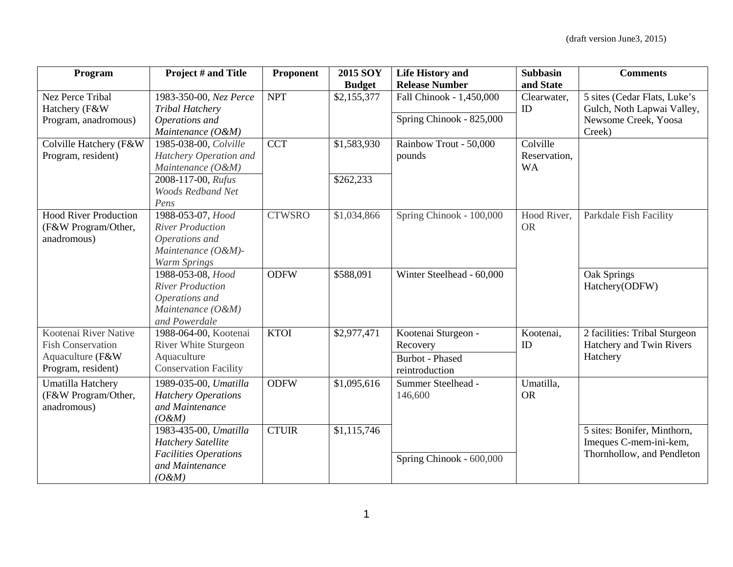| Program                      | Project # and Title          | Proponent     | <b>2015 SOY</b> | <b>Life History and</b>   | <b>Subbasin</b> | <b>Comments</b>               |
|------------------------------|------------------------------|---------------|-----------------|---------------------------|-----------------|-------------------------------|
|                              |                              |               | <b>Budget</b>   | <b>Release Number</b>     | and State       |                               |
| Nez Perce Tribal             | 1983-350-00, Nez Perce       | <b>NPT</b>    | \$2,155,377     | Fall Chinook - 1,450,000  | Clearwater,     | 5 sites (Cedar Flats, Luke's  |
| Hatchery (F&W                | <b>Tribal Hatchery</b>       |               |                 |                           | ID              | Gulch, Noth Lapwai Valley,    |
| Program, anadromous)         | Operations and               |               |                 | Spring Chinook - 825,000  |                 | Newsome Creek, Yoosa          |
|                              | Maintenance (O&M)            |               |                 |                           |                 | Creek)                        |
| Colville Hatchery (F&W       | 1985-038-00, Colville        | <b>CCT</b>    | \$1,583,930     | Rainbow Trout - 50,000    | Colville        |                               |
| Program, resident)           | Hatchery Operation and       |               |                 | pounds                    | Reservation,    |                               |
|                              | Maintenance (O&M)            |               |                 |                           | <b>WA</b>       |                               |
|                              | 2008-117-00, Rufus           |               | \$262,233       |                           |                 |                               |
|                              | <b>Woods Redband Net</b>     |               |                 |                           |                 |                               |
|                              | Pens                         |               |                 |                           |                 |                               |
| <b>Hood River Production</b> | 1988-053-07, Hood            | <b>CTWSRO</b> | \$1,034,866     | Spring Chinook - 100,000  | Hood River,     | Parkdale Fish Facility        |
| (F&W Program/Other,          | <b>River Production</b>      |               |                 |                           | <b>OR</b>       |                               |
| anadromous)                  | Operations and               |               |                 |                           |                 |                               |
|                              | Maintenance (O&M)-           |               |                 |                           |                 |                               |
|                              | Warm Springs                 |               |                 |                           |                 |                               |
|                              | 1988-053-08, Hood            | <b>ODFW</b>   | \$588,091       | Winter Steelhead - 60,000 |                 | Oak Springs                   |
|                              | <b>River Production</b>      |               |                 |                           |                 | Hatchery(ODFW)                |
|                              | Operations and               |               |                 |                           |                 |                               |
|                              | Maintenance (O&M)            |               |                 |                           |                 |                               |
|                              | and Powerdale                |               |                 |                           |                 |                               |
| Kootenai River Native        | 1988-064-00, Kootenai        | <b>KTOI</b>   | \$2,977,471     | Kootenai Sturgeon -       | Kootenai,       | 2 facilities: Tribal Sturgeon |
| <b>Fish Conservation</b>     | <b>River White Sturgeon</b>  |               |                 | Recovery                  | ID              | Hatchery and Twin Rivers      |
| Aquaculture (F&W             | Aquaculture                  |               |                 | <b>Burbot</b> - Phased    |                 | Hatchery                      |
| Program, resident)           | <b>Conservation Facility</b> |               |                 | reintroduction            |                 |                               |
| Umatilla Hatchery            | 1989-035-00, Umatilla        | <b>ODFW</b>   | \$1,095,616     | Summer Steelhead -        | Umatilla,       |                               |
| (F&W Program/Other,          | <b>Hatchery Operations</b>   |               |                 | 146,600                   | <b>OR</b>       |                               |
| anadromous)                  | and Maintenance              |               |                 |                           |                 |                               |
|                              | $(O$ &M)                     |               |                 |                           |                 |                               |
|                              | 1983-435-00, Umatilla        | <b>CTUIR</b>  | \$1,115,746     |                           |                 | 5 sites: Bonifer, Minthorn,   |
|                              | <b>Hatchery Satellite</b>    |               |                 |                           |                 | Imeques C-mem-ini-kem,        |
|                              | <b>Facilities Operations</b> |               |                 |                           |                 | Thornhollow, and Pendleton    |
|                              | and Maintenance              |               |                 | Spring Chinook - 600,000  |                 |                               |
|                              | $(O$ &M)                     |               |                 |                           |                 |                               |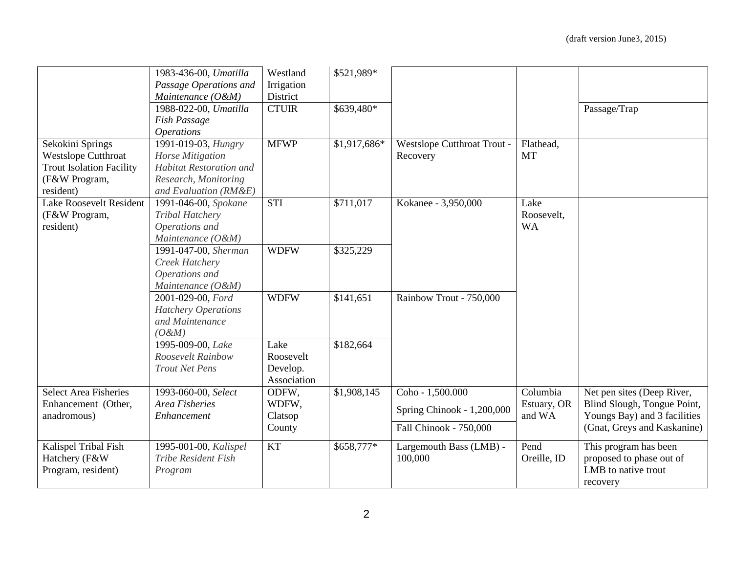|                                                                                                                 | 1983-436-00, Umatilla<br>Passage Operations and<br>Maintenance (O&M)<br>1988-022-00, Umatilla<br>Fish Passage                                      | Westland<br>Irrigation<br>District<br><b>CTUIR</b> | \$521,989*<br>\$639,480* |                                                                          |                                   | Passage/Trap                                                                                                             |
|-----------------------------------------------------------------------------------------------------------------|----------------------------------------------------------------------------------------------------------------------------------------------------|----------------------------------------------------|--------------------------|--------------------------------------------------------------------------|-----------------------------------|--------------------------------------------------------------------------------------------------------------------------|
| Sekokini Springs<br><b>Westslope Cutthroat</b><br><b>Trout Isolation Facility</b><br>(F&W Program,<br>resident) | <b>Operations</b><br>1991-019-03, Hungry<br>Horse Mitigation<br><b>Habitat Restoration and</b><br>Research, Monitoring<br>and Evaluation $(RM\&E)$ | <b>MFWP</b>                                        | \$1,917,686*             | Westslope Cutthroat Trout -<br>Recovery                                  | Flathead,<br><b>MT</b>            |                                                                                                                          |
| <b>Lake Roosevelt Resident</b><br>(F&W Program,<br>resident)                                                    | 1991-046-00, Spokane<br>Tribal Hatchery<br>Operations and<br>Maintenance (O&M)                                                                     | <b>STI</b>                                         | \$711,017                | Kokanee - 3,950,000                                                      | Lake<br>Roosevelt,<br><b>WA</b>   |                                                                                                                          |
|                                                                                                                 | 1991-047-00, Sherman<br>Creek Hatchery<br>Operations and<br>Maintenance (O&M)                                                                      | <b>WDFW</b>                                        | \$325,229                |                                                                          |                                   |                                                                                                                          |
|                                                                                                                 | 2001-029-00, Ford<br><b>Hatchery Operations</b><br>and Maintenance<br>$(O \& M)$                                                                   | <b>WDFW</b>                                        | \$141,651                | Rainbow Trout - 750,000                                                  |                                   |                                                                                                                          |
|                                                                                                                 | 1995-009-00, Lake<br>Roosevelt Rainbow<br><b>Trout Net Pens</b>                                                                                    | Lake<br>Roosevelt<br>Develop.<br>Association       | \$182,664                |                                                                          |                                   |                                                                                                                          |
| <b>Select Area Fisheries</b><br>Enhancement (Other,<br>anadromous)                                              | 1993-060-00, Select<br>Area Fisheries<br>Enhancement                                                                                               | ODFW,<br>WDFW,<br>Clatsop<br>County                | \$1,908,145              | Coho - 1,500.000<br>Spring Chinook - 1,200,000<br>Fall Chinook - 750,000 | Columbia<br>Estuary, OR<br>and WA | Net pen sites (Deep River,<br>Blind Slough, Tongue Point,<br>Youngs Bay) and 3 facilities<br>(Gnat, Greys and Kaskanine) |
| Kalispel Tribal Fish<br>Hatchery (F&W<br>Program, resident)                                                     | 1995-001-00, Kalispel<br>Tribe Resident Fish<br>Program                                                                                            | <b>KT</b>                                          | \$658,777*               | Largemouth Bass (LMB) -<br>100,000                                       | Pend<br>Oreille, ID               | This program has been<br>proposed to phase out of<br>LMB to native trout<br>recovery                                     |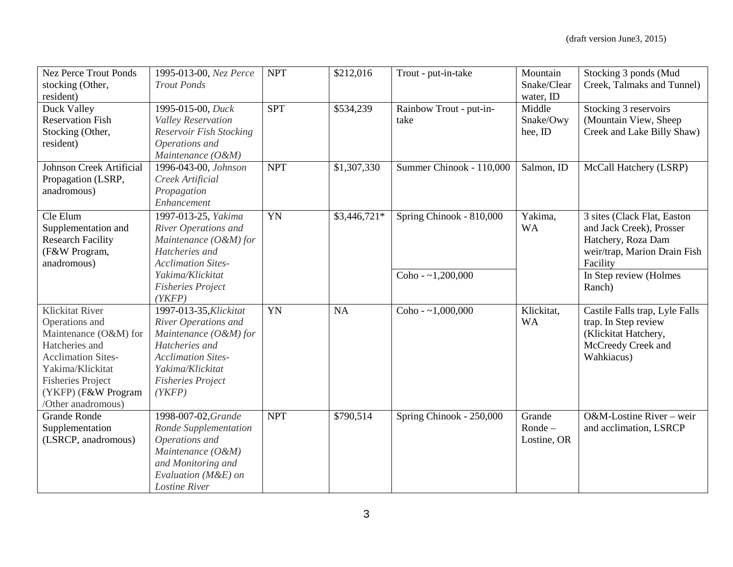| <b>Nez Perce Trout Ponds</b><br>stocking (Other,                                                                                                                                                                     | 1995-013-00, Nez Perce<br><b>Trout Ponds</b>                                                                                                                                     | <b>NPT</b> | \$212,016    | Trout - put-in-take             | Mountain<br>Snake/Clear                     | Stocking 3 ponds (Mud<br>Creek, Talmaks and Tunnel)                                                                       |
|----------------------------------------------------------------------------------------------------------------------------------------------------------------------------------------------------------------------|----------------------------------------------------------------------------------------------------------------------------------------------------------------------------------|------------|--------------|---------------------------------|---------------------------------------------|---------------------------------------------------------------------------------------------------------------------------|
| resident)<br>Duck Valley<br><b>Reservation Fish</b><br>Stocking (Other,                                                                                                                                              | 1995-015-00, Duck<br>Valley Reservation<br>Reservoir Fish Stocking                                                                                                               | <b>SPT</b> | \$534,239    | Rainbow Trout - put-in-<br>take | water, ID<br>Middle<br>Snake/Owy<br>hee, ID | Stocking 3 reservoirs<br>(Mountain View, Sheep<br>Creek and Lake Billy Shaw)                                              |
| resident)                                                                                                                                                                                                            | Operations and<br>Maintenance (O&M)                                                                                                                                              |            |              |                                 |                                             |                                                                                                                           |
| <b>Johnson Creek Artificial</b><br>Propagation (LSRP,<br>anadromous)                                                                                                                                                 | 1996-043-00, Johnson<br>Creek Artificial<br>Propagation<br>Enhancement                                                                                                           | <b>NPT</b> | \$1,307,330  | Summer Chinook - 110,000        | Salmon, ID                                  | McCall Hatchery (LSRP)                                                                                                    |
| Cle Elum<br>Supplementation and<br><b>Research Facility</b><br>(F&W Program,<br>anadromous)                                                                                                                          | 1997-013-25, Yakima<br>River Operations and<br>Maintenance (O&M) for<br>Hatcheries and<br><b>Acclimation Sites-</b>                                                              | YN         | \$3,446,721* | Spring Chinook - 810,000        | Yakima,<br><b>WA</b>                        | 3 sites (Clack Flat, Easton<br>and Jack Creek), Prosser<br>Hatchery, Roza Dam<br>weir/trap, Marion Drain Fish<br>Facility |
|                                                                                                                                                                                                                      | Yakima/Klickitat<br><b>Fisheries Project</b><br>(YKFP)                                                                                                                           |            |              | Coho - $~1,200,000$             |                                             | In Step review (Holmes<br>Ranch)                                                                                          |
| <b>Klickitat River</b><br>Operations and<br>Maintenance (O&M) for<br>Hatcheries and<br><b>Acclimation Sites-</b><br>Yakima/Klickitat<br><b>Fisheries Project</b><br>(YKFP) (F&W Program<br><b>Other anadromous</b> ) | 1997-013-35, Klickitat<br>River Operations and<br>Maintenance (O&M) for<br>Hatcheries and<br><b>Acclimation Sites-</b><br>Yakima/Klickitat<br><b>Fisheries Project</b><br>(YKFP) | YN         | <b>NA</b>    | Coho - $~1,000,000$             | Klickitat,<br><b>WA</b>                     | Castile Falls trap, Lyle Falls<br>trap. In Step review<br>(Klickitat Hatchery,<br>McCreedy Creek and<br>Wahkiacus)        |
| <b>Grande Ronde</b><br>Supplementation<br>(LSRCP, anadromous)                                                                                                                                                        | 1998-007-02, Grande<br>Ronde Supplementation<br>Operations and<br>Maintenance (O&M)<br>and Monitoring and<br>Evaluation (M&E) on<br><b>Lostine River</b>                         | <b>NPT</b> | \$790,514    | Spring Chinook - 250,000        | Grande<br>$Ronde -$<br>Lostine, OR          | O&M-Lostine River – weir<br>and acclimation, LSRCP                                                                        |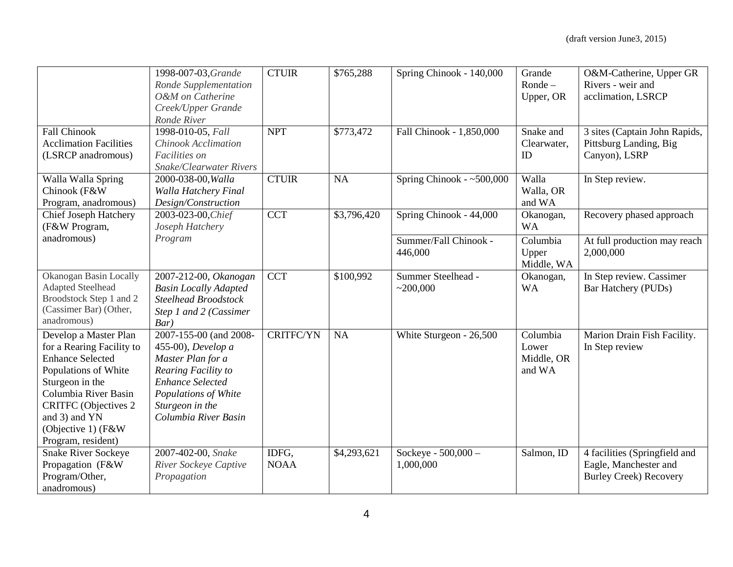|                                                                                                                                                                                                                                              | 1998-007-03, Grande<br>Ronde Supplementation<br>O&M on Catherine<br>Creek/Upper Grande<br>Ronde River                                                                                  | <b>CTUIR</b>         | \$765,288   | Spring Chinook - 140,000         | Grande<br>$Ronde -$<br>Upper, OR          | O&M-Catherine, Upper GR<br>Rivers - weir and<br>acclimation, LSRCP                      |
|----------------------------------------------------------------------------------------------------------------------------------------------------------------------------------------------------------------------------------------------|----------------------------------------------------------------------------------------------------------------------------------------------------------------------------------------|----------------------|-------------|----------------------------------|-------------------------------------------|-----------------------------------------------------------------------------------------|
| <b>Fall Chinook</b><br><b>Acclimation Facilities</b><br>(LSRCP anadromous)                                                                                                                                                                   | 1998-010-05, Fall<br>Chinook Acclimation<br>Facilities on<br><b>Snake/Clearwater Rivers</b>                                                                                            | <b>NPT</b>           | \$773,472   | Fall Chinook - 1,850,000         | Snake and<br>Clearwater,<br>ID            | 3 sites (Captain John Rapids,<br>Pittsburg Landing, Big<br>Canyon), LSRP                |
| Walla Walla Spring<br>Chinook (F&W<br>Program, anadromous)                                                                                                                                                                                   | 2000-038-00, Walla<br>Walla Hatchery Final<br>Design/Construction                                                                                                                      | <b>CTUIR</b>         | NA          | Spring Chinook - $~500,000$      | Walla<br>Walla, OR<br>and WA              | In Step review.                                                                         |
| <b>Chief Joseph Hatchery</b><br>(F&W Program,                                                                                                                                                                                                | 2003-023-00, Chief<br>Joseph Hatchery                                                                                                                                                  | <b>CCT</b>           | \$3,796,420 | Spring Chinook - 44,000          | Okanogan,<br><b>WA</b>                    | Recovery phased approach                                                                |
| anadromous)                                                                                                                                                                                                                                  | Program                                                                                                                                                                                |                      |             | Summer/Fall Chinook -<br>446,000 | Columbia<br>Upper<br>Middle, WA           | At full production may reach<br>2,000,000                                               |
| Okanogan Basin Locally<br><b>Adapted Steelhead</b><br>Broodstock Step 1 and 2<br>(Cassimer Bar) (Other,<br>anadromous)                                                                                                                       | 2007-212-00, Okanogan<br><b>Basin Locally Adapted</b><br>Steelhead Broodstock<br>Step 1 and 2 (Cassimer<br>Bar)                                                                        | <b>CCT</b>           | \$100,992   | Summer Steelhead -<br>~200,000   | Okanogan,<br><b>WA</b>                    | In Step review. Cassimer<br>Bar Hatchery (PUDs)                                         |
| Develop a Master Plan<br>for a Rearing Facility to<br><b>Enhance Selected</b><br>Populations of White<br>Sturgeon in the<br>Columbia River Basin<br><b>CRITFC</b> (Objectives 2<br>and 3) and YN<br>(Objective 1) (F&W<br>Program, resident) | 2007-155-00 (and 2008-<br>455-00), Develop a<br>Master Plan for a<br>Rearing Facility to<br><b>Enhance Selected</b><br>Populations of White<br>Sturgeon in the<br>Columbia River Basin | <b>CRITFC/YN</b>     | NA          | White Sturgeon - 26,500          | Columbia<br>Lower<br>Middle, OR<br>and WA | Marion Drain Fish Facility.<br>In Step review                                           |
| <b>Snake River Sockeye</b><br>Propagation (F&W<br>Program/Other,<br>anadromous)                                                                                                                                                              | 2007-402-00, Snake<br>River Sockeye Captive<br>Propagation                                                                                                                             | IDFG,<br><b>NOAA</b> | \$4,293,621 | Sockeye - 500,000 -<br>1,000,000 | Salmon, ID                                | 4 facilities (Springfield and<br>Eagle, Manchester and<br><b>Burley Creek) Recovery</b> |